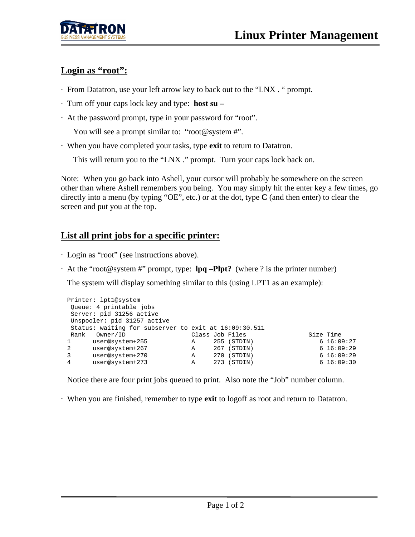

# Login as "root":

- · From Datatron, use your left arrow key to back out to the "LNX . " prompt.
- · Turn off your caps lock key and type: **host su –**
- · At the password prompt, type in your password for "root".

You will see a prompt similar to: "root@system #".

· When you have completed your tasks, type **exit** to return to Datatron.

This will return you to the "LNX ." prompt. Turn your caps lock back on.

Note: When you go back into Ashell, your cursor will probably be somewhere on the screen other than where Ashell remembers you being. You may simply hit the enter key a few times, go directly into a menu (by typing "OE", etc.) or at the dot, type **C** (and then enter) to clear the screen and put you at the top.

# **List all print jobs for a specific printer:**

- · Login as "root" (see instructions above).
- · At the "root@system #" prompt, type: **lpq –Plpt?** (where ? is the printer number)

The system will display something similar to this (using LPT1 as an example):

|                                                       | Printer: lpt1@system     |                 |     |               |  |             |
|-------------------------------------------------------|--------------------------|-----------------|-----|---------------|--|-------------|
|                                                       | Queue: 4 printable jobs  |                 |     |               |  |             |
|                                                       | Server: pid 31256 active |                 |     |               |  |             |
| Unspooler: pid 31257 active                           |                          |                 |     |               |  |             |
| Status: waiting for subserver to exit at 16:09:30.511 |                          |                 |     |               |  |             |
|                                                       |                          |                 |     |               |  |             |
| Rank                                                  | Owner/ID                 | Class Job Files |     |               |  | Size Time   |
| $\mathbf{1}$                                          | user@system+255          | Α               |     | $255$ (STDIN) |  | 6 16:09:27  |
| 2                                                     | user@system+267          | Α               |     | 267 (STDIN)   |  | 6, 16:09:29 |
| 3                                                     | user@system+270          | Α               | 270 | (STDIN)       |  | 6 16:09:29  |

Notice there are four print jobs queued to print. Also note the "Job" number column.

· When you are finished, remember to type **exit** to logoff as root and return to Datatron.